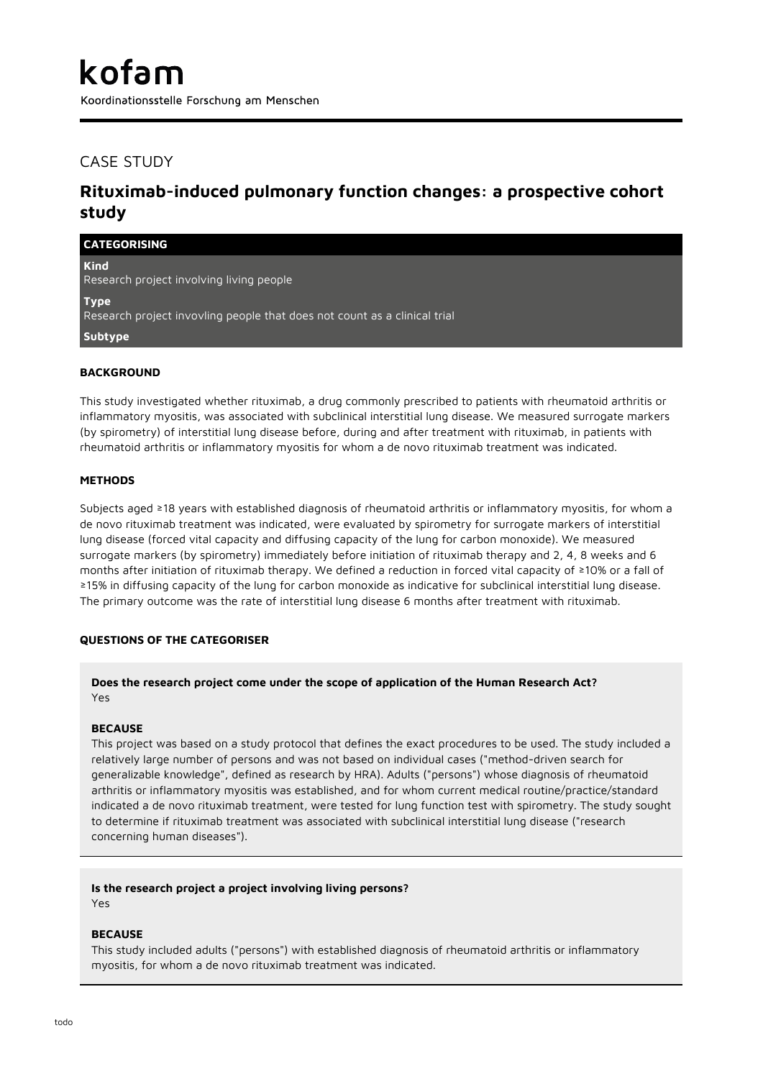Koordinationsstelle Forschung am Menschen

## CASE STUDY

# **Rituximab-induced pulmonary function changes: a prospective cohort study**

| <b>CATEGORISING</b>                                                                      |
|------------------------------------------------------------------------------------------|
| <b>Kind</b><br>Research project involving living people                                  |
| <b>Type</b><br>Research project invovling people that does not count as a clinical trial |
| Subtype                                                                                  |
| <b>BACKGROUND</b>                                                                        |

This study investigated whether rituximab, a drug commonly prescribed to patients with rheumatoid arthritis or inflammatory myositis, was associated with subclinical interstitial lung disease. We measured surrogate markers (by spirometry) of interstitial lung disease before, during and after treatment with rituximab, in patients with rheumatoid arthritis or inflammatory myositis for whom a de novo rituximab treatment was indicated.

## **METHODS**

Subjects aged ≥18 years with established diagnosis of rheumatoid arthritis or inflammatory myositis, for whom a de novo rituximab treatment was indicated, were evaluated by spirometry for surrogate markers of interstitial lung disease (forced vital capacity and diffusing capacity of the lung for carbon monoxide). We measured surrogate markers (by spirometry) immediately before initiation of rituximab therapy and 2, 4, 8 weeks and 6 months after initiation of rituximab therapy. We defined a reduction in forced vital capacity of ≥10% or a fall of ≥15% in diffusing capacity of the lung for carbon monoxide as indicative for subclinical interstitial lung disease. The primary outcome was the rate of interstitial lung disease 6 months after treatment with rituximab.

## **QUESTIONS OF THE CATEGORISER**

## **Does the research project come under the scope of application of the Human Research Act?** Yes

#### **BECAUSE**

This project was based on a study protocol that defines the exact procedures to be used. The study included a relatively large number of persons and was not based on individual cases ("method-driven search for generalizable knowledge", defined as research by HRA). Adults ("persons") whose diagnosis of rheumatoid arthritis or inflammatory myositis was established, and for whom current medical routine/practice/standard indicated a de novo rituximab treatment, were tested for lung function test with spirometry. The study sought to determine if rituximab treatment was associated with subclinical interstitial lung disease ("research concerning human diseases").

## **Is the research project a project involving living persons?**

Yes

#### **BECAUSE**

This study included adults ("persons") with established diagnosis of rheumatoid arthritis or inflammatory myositis, for whom a de novo rituximab treatment was indicated.